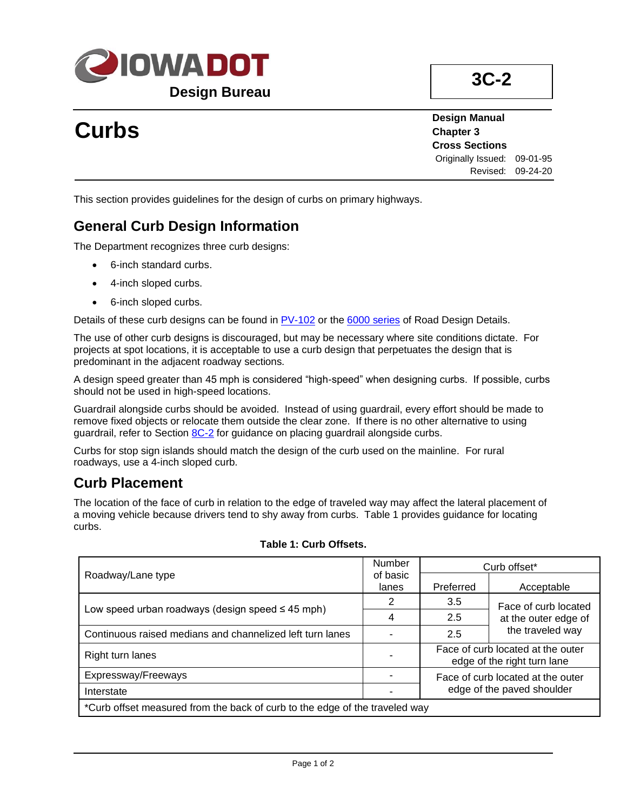

## **3C-2**

# **Curbs**

**Design Manual Chapter 3 Cross Sections** Originally Issued: 09-01-95 Revised: 09-24-20

This section provides guidelines for the design of curbs on primary highways.

### **General Curb Design Information**

The Department recognizes three curb designs:

- 6-inch standard curbs.
- 4-inch sloped curbs.
- 6-inch sloped curbs.

Details of these curb designs can be found in [PV-102](../SRP/IndividualStandards/pv102.pdf) or the [6000 series](../6000s) of Road Design Details.

The use of other curb designs is discouraged, but may be necessary where site conditions dictate. For projects at spot locations, it is acceptable to use a curb design that perpetuates the design that is predominant in the adjacent roadway sections.

A design speed greater than 45 mph is considered "high-speed" when designing curbs. If possible, curbs should not be used in high-speed locations.

Guardrail alongside curbs should be avoided. Instead of using guardrail, every effort should be made to remove fixed objects or relocate them outside the clear zone. If there is no other alternative to using guardrail, refer to Section [8C-2](08c-02.pdf) for guidance on placing guardrail alongside curbs.

Curbs for stop sign islands should match the design of the curb used on the mainline. For rural roadways, use a 4-inch sloped curb.

### **Curb Placement**

The location of the face of curb in relation to the edge of traveled way may affect the lateral placement of a moving vehicle because drivers tend to shy away from curbs. Table 1 provides guidance for locating curbs.

|                                                                             | Number            | Curb offset <sup>*</sup>                                         |                                                                  |  |
|-----------------------------------------------------------------------------|-------------------|------------------------------------------------------------------|------------------------------------------------------------------|--|
| Roadway/Lane type                                                           | of basic<br>lanes | Preferred                                                        | Acceptable                                                       |  |
| Low speed urban roadways (design speed $\leq 45$ mph)                       | 2                 | 3.5                                                              | Face of curb located<br>at the outer edge of<br>the traveled way |  |
|                                                                             | 4                 | 2.5                                                              |                                                                  |  |
| Continuous raised medians and channelized left turn lanes                   |                   | 2.5                                                              |                                                                  |  |
| Right turn lanes                                                            |                   | Face of curb located at the outer<br>edge of the right turn lane |                                                                  |  |
| Expressway/Freeways                                                         |                   | Face of curb located at the outer<br>edge of the paved shoulder  |                                                                  |  |
| Interstate                                                                  |                   |                                                                  |                                                                  |  |
| *Curb offset measured from the back of curb to the edge of the traveled way |                   |                                                                  |                                                                  |  |

#### **Table 1: Curb Offsets.**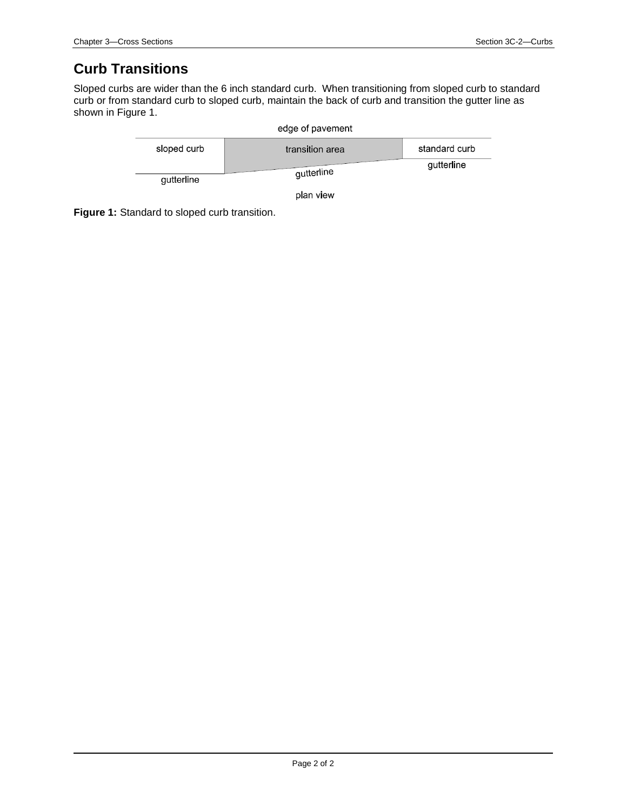### **Curb Transitions**

Sloped curbs are wider than the 6 inch standard curb. When transitioning from sloped curb to standard curb or from standard curb to sloped curb, maintain the back of curb and transition the gutter line as shown in Figure 1.

|             | edge of pavement |               |
|-------------|------------------|---------------|
| sloped curb | transition area  | standard curb |
| gutterline  | gutterline       | gutterline    |

plan view

**Figure 1:** Standard to sloped curb transition.